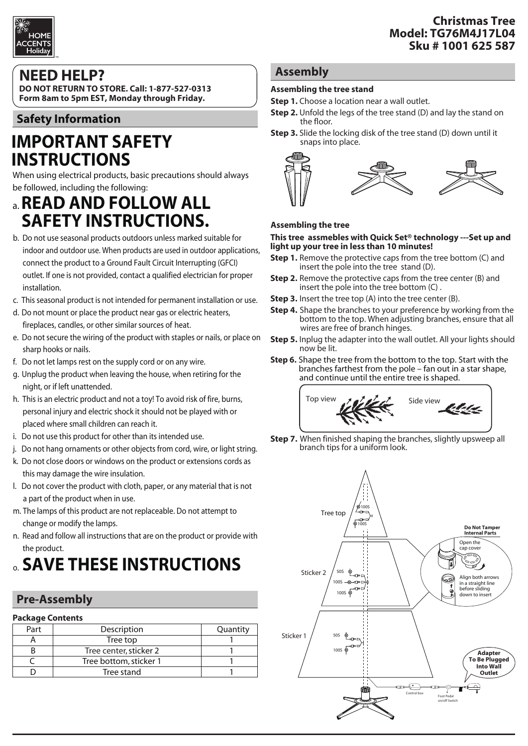

## **NEED HELP?**

**DO NOT RETURN TO STORE. Call: 1-877-527-0313 Form 8am to 5pm EST, Monday through Friday.**

## **Safety Information**

# **IMPORTANT SAFETY INSTRUCTIONS**

When using electrical products, basic precautions should always be followed, including the following:

## a. **READ AND FOLLOW ALL SAFETY INSTRUCTIONS.**

- b. Do not use seasonal products outdoors unless marked suitable for indoor and outdoor use. When products are used in outdoor applications, connect the product to a Ground Fault Circuit Interrupting (GFCI) outlet. If one is not provided, contact a qualified electrician for proper installation.
- c. This seasonal product is not intended for permanent installation or use.
- d. Do not mount or place the product near gas or electric heaters, fireplaces, candles, or other similar sources of heat.
- e. Do not secure the wiring of the product with staples or nails, or place on sharp hooks or nails.
- f. Do not let lamps rest on the supply cord or on any wire.
- g. Unplug the product when leaving the house, when retiring for the night, or if left unattended.
- h. This is an electric product and not a toy! To avoid risk of fire, burns, personal injury and electric shock it should not be played with or placed where small children can reach it.
- i. Do not use this product for other than its intended use.
- j. Do not hang ornaments or other objects from cord, wire, or light string.
- k. Do not close doors or windows on the product or extensions cords as this may damage the wire insulation.
- l. Do not cover the product with cloth, paper, or any material that is not a part of the product when in use.
- m. The lamps of this product are not replaceable. Do not attempt to change or modify the lamps.
- n. Read and follow all instructions that are on the product or provide with the product.

# o. **SAVE THESE INSTRUCTIONS**

## **Pre-Assembly**

| <b>Package Contents</b> |
|-------------------------|
|                         |

| Part | Description            | Quantity |
|------|------------------------|----------|
|      | Tree top               |          |
|      | Tree center, sticker 2 |          |
|      | Tree bottom, sticker 1 |          |
|      | Tree stand             |          |
|      |                        |          |

## **Assembly**

#### **Assembling the tree stand**

- **Step 1.** Choose a location near a wall outlet.
- **Step 2.** Unfold the legs of the tree stand (D) and lay the stand on the floor.
- **Step 3.** Slide the locking disk of the tree stand (D) down until it snaps into place.



#### **Assembling the tree**

#### **This tree assmebles with Quick Set® technology ---Set up and light up your tree in less than 10 minutes!**

- **Step 1.** Remove the protective caps from the tree bottom (C) and insert the pole into the tree stand (D).
- **Step 2.** Remove the protective caps from the tree center (B) and insert the pole into the tree bottom (C) .
- **Step 3.** Insert the tree top (A) into the tree center (B).
- **Step 4.** Shape the branches to your preference by working from the bottom to the top. When adjusting branches, ensure that all wires are free of branch hinges.
- **Step 5.** Inplug the adapter into the wall outlet. All your lights should now be lit.
- **Step 6.** Shape the tree from the bottom to the top. Start with the branches farthest from the pole fan out in a star shape, and continue until the entire tree is shaped.



**Step 7.** When finished shaping the branches, slightly upsweep all branch tips for a uniform look.